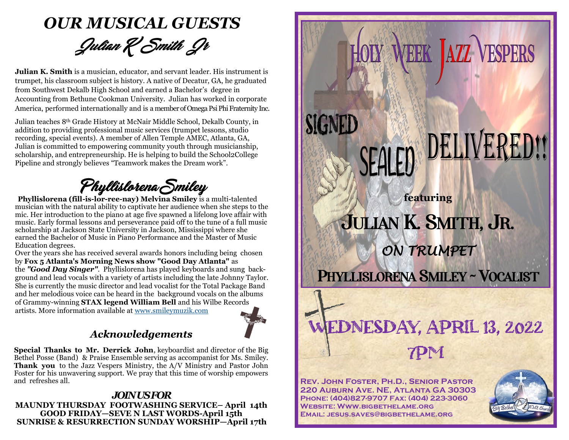

**Julian K. Smith** is a musician, educator, and servant leader. His instrument is trumpet, his classroom subject is history. A native of Decatur, GA, he graduated from Southwest Dekalb High School and earned a Bachelor's degree in Accounting from Bethune Cookman University. Julian has worked in corporate America, performed internationally and is a member of Omega Psi Phi Fraternity Inc.

Julian teaches 8th Grade History at McNair Middle School, Dekalb County, in addition to providing professional music services (trumpet lessons, studio recording, special events). A member of Allen Temple AMEC, Atlanta, GA, Julian is committed to empowering community youth through musicianship, scholarship, and entrepreneurship. He is helping to build the School2College Pipeline and strongly believes "Teamwork makes the Dream work".

Phyllislorena Smiley

**Phyllislorena (fill-is-lor-ree-nay) Melvina Smiley** is a multi-talented musician with the natural ability to captivate her audience when she steps to the mic. Her introduction to the piano at age five spawned a lifelong love affair with music. Early formal lessons and perseverance paid off to the tune of a full music scholarship at Jackson State University in Jackson, Mississippi where she earned the Bachelor of Music in Piano Performance and the Master of Music Education degrees.

Over the years she has received several awards honors including being chosen by **Fox 5 Atlanta's Morning News show "Good Day Atlanta"** as the *"Good Day Singer"*. Phyllislorena has played keyboards and sung background and lead vocals with a variety of artists including the late Johnny Taylor. She is currently the music director and lead vocalist for the Total Package Band and her melodious voice can be heard in the background vocals on the albums of Grammy-winning **STAX legend William Bell** and his Wilbe Records artists. More information available at [www.smileymuzik.com](http://www.smileymuzik.com)



### *Acknowledgements*

**Special Thanks to Mr. Derrick John**, keyboardist and director of the Big Bethel Posse (Band) & Praise Ensemble serving as accompanist for Ms. Smiley. **Thank you** to the Jazz Vespers Ministry, the A/V Ministry and Pastor John Foster for his unwavering support. We pray that this time of worship empowers and refreshes all.

#### *JOIN US FOR* **MAUNDY THURSDAY FOOTWASHING SERVICE– April 14th GOOD FRIDAY—SEVE N LAST WORDS-April 15th SUNRISE & RESURRECTION SUNDAY WORSHIP—April 17th**